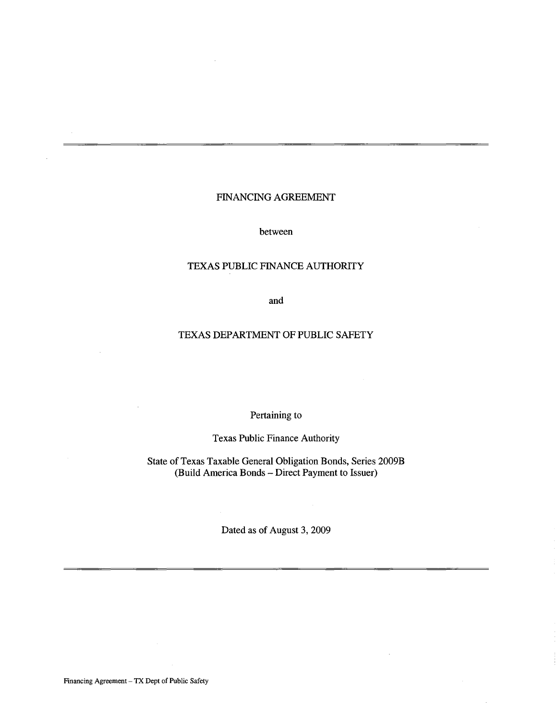# FINANCING AGREEMENT

between

# TEXAS PUBLIC FINANCE AUTHORITY

and

# TEXAS DEPARTMENT OF PUBLIC SAFETY

Pertaining to

Texas Public Finance Authority

State of Texas Taxable General Obligation Bonds, Series 2009B (Build America Bonds - Direct Payment to Issuer)

Dated as of August 3, 2009

Financing Agreement - TX Dept of Public Safety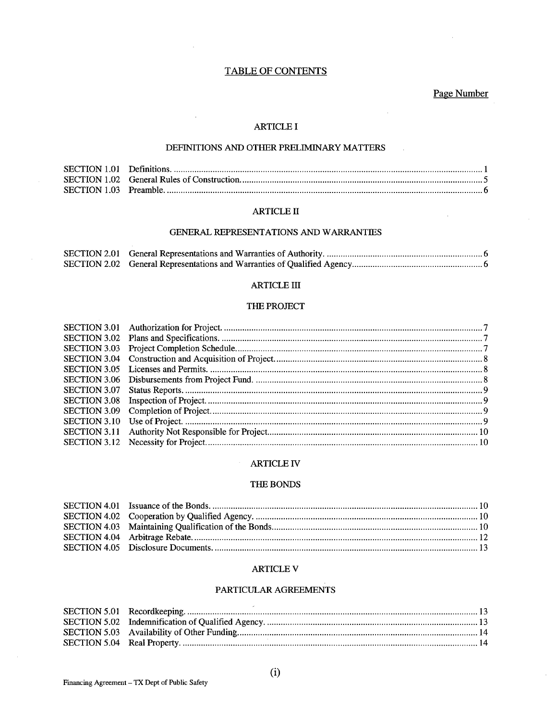# **TABLE OF CONTENTS**

Page Number

### **ARTICLE I**

# DEFINITIONS AND OTHER PRELIMINARY MATTERS

### **ARTICLE II**

### GENERAL REPRESENTATIONS AND WARRANTIES

# $\operatorname{ARTICLE}$  III

#### THE PROJECT

#### **ARTICLE IV**

#### THE BONDS

#### **ARTICLE V**

#### PARTICULAR AGREEMENTS

 $(i)$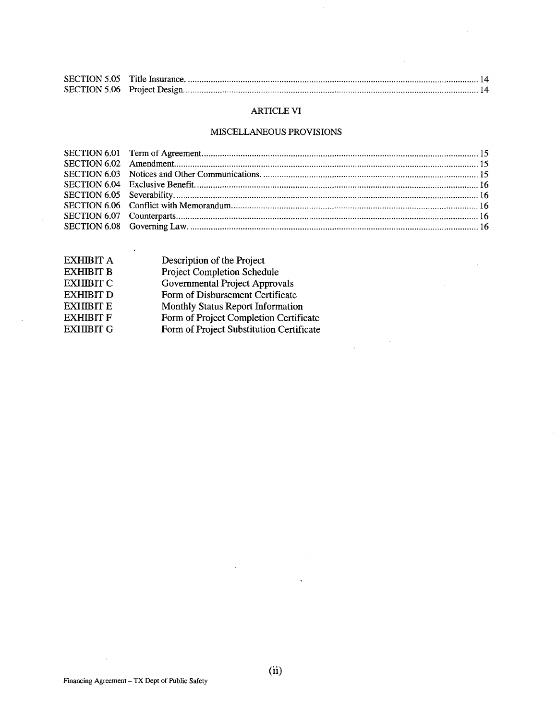$\epsilon$ 

# ARTICLE VI

# MISCELLANEOUS PROVISIONS

 $\sim$   $\sim$ 

 $\frac{1}{2}$ 

| EXHIBIT A        | Description of the Project               |
|------------------|------------------------------------------|
| <b>EXHIBIT B</b> | <b>Project Completion Schedule</b>       |
| <b>EXHIBIT C</b> | Governmental Project Approvals           |
| <b>EXHIBIT D</b> | Form of Disbursement Certificate         |
| <b>EXHIBIT E</b> | <b>Monthly Status Report Information</b> |
| <b>EXHIBIT F</b> | Form of Project Completion Certificate   |
| <b>EXHIBIT G</b> | Form of Project Substitution Certificate |
|                  |                                          |

 $\sim$ 

 $\mathcal{A}$ 

 $\bar{z}$ 

 $\bar{\gamma}$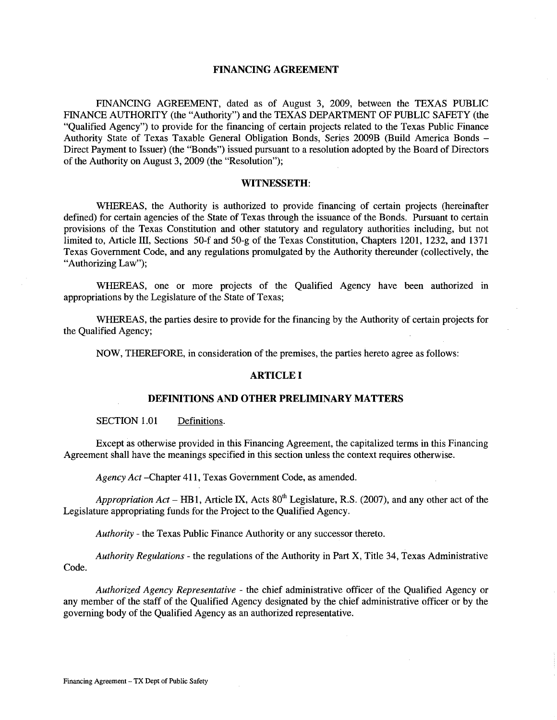### **FINANCING AGREEMENT**

FINANCING AGREEMENT, dated as of August 3, 2009, between the TEXAS PUBLIC FINANCE AUTHORITY (the "Authority") and the TEXAS DEPARTMENT OF PUBLIC SAFETY (the "Qualified Agency") to provide for the financing of certain projects related to the Texas Public Finance Authority State of Texas Taxable General Obligation Bonds, Series 2009B (Build America Bonds - Direct Payment to Issuer) (the "Bonds") issued pursuant to a resolution adopted by the Board of Directors of the Authority on August 3, 2009 (the "Resolution");

#### **WITNESSETH:**

WHEREAS, the Authority is authorized to provide financing of certain projects (hereinafter defined) for certain agencies of the State of Texas through the issuance of the Bonds. Pursuant to certain provisions of the Texas Constitution and other statutory and regulatory authorities including, but not limited to, Article III, Sections 50-f and 50-g of the Texas Constitution, Chapters 1201, 1232, and 1371 Texas Government Code, and any regulations promulgated by the Authority thereunder (collectively, the "Authorizing Law");

WHEREAS, one or more projects of the Qualified Agency have been authorized in appropriations by the Legislature of the State of Texas;

WHEREAS, the parties desire to provide for the financing by the Authority of certain projects for the Qualified Agency;

NOW, THEREFORE, in consideration of the premises, the parties hereto agree as follows:

# **ARTICLE I**

#### **DEFINITIONS AND OTHER PRELIMINARY MATTERS**

SECTION 1.01 Definitions.

Except as otherwise provided in this Financing Agreement, the capitalized terms in this Financing Agreement shall have the meanings specified in this section unless the context requires otherwise.

*Agency Act* -Chapter 411, Texas Government Code, as amended.

*Appropriation Act* – HB1, Article IX, Acts  $80<sup>th</sup>$  Legislature, R.S. (2007), and any other act of the Legislature appropriating funds for the Project to the Qualified Agency.

*Authority* - the Texas Public Finance Authority or any successor thereto.

*Authority Regulations-* the regulations of the Authority in Part X, Title 34, Texas Administrative Code.

*Authorized Agency Representative* - the chief administrative officer of the Qualified Agency or any member of the staff of the Qualified Agency designated by the chief administrative officer or by the governing body of the Qualified Agency as an authorized representative.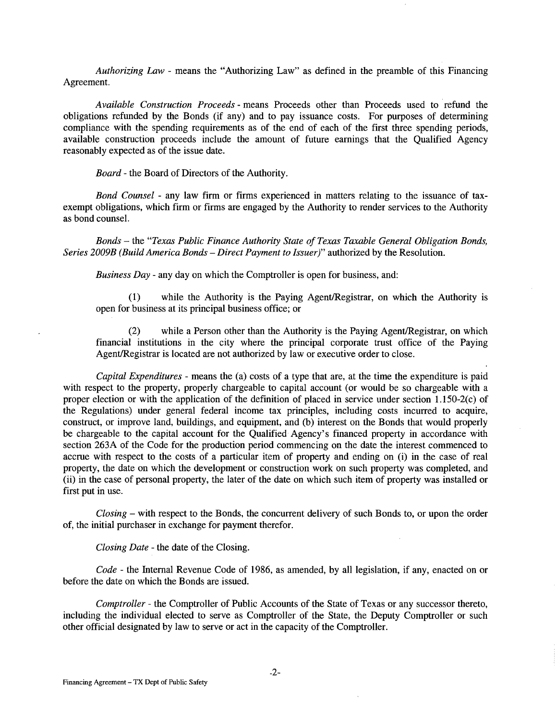*Authorizing Law* - means the "Authorizing Law" as defined in the preamble of this Financing Agreement.

*Available Construction Proceeds* - means Proceeds other than Proceeds used to ·refund the obligations refunded by the Bonds (if any) and to pay issuance costs. For purposes of determining compliance with the spending requirements as of the end of each of the first three spending periods, available construction proceeds include the amount of future earnings that the Qualified Agency reasonably expected as of the issue date.

*Board* - the Board of Directors of the Authority.

*Bond Counsel* - any law firm or firms experienced in matters relating to the issuance of taxexempt obligations, which firm or firms are engaged by the Authority to render services to the Authority as bond counsel.

*Bonds* - the *"Texas Public Finance Authority State of Texas Taxable General Obligation Bonds, Series 2009B (Build America Bonds- Direct Payment to Issuer)"* authorized by the Resolution.

*Business Day* - any day on which the Comptroller is open for business, and:

(1) while the Authority is the Paying Agent/Registrar, on which the Authority is open for business at its principal business office; or

(2) while a Person other than the Authority is the Paying Agent/Registrar, on which financial institutions in the city where the principal corporate trust office of the Paying Agent/Registrar is located are not authorized by law or executive order to close.

*Capital Expenditures* - means the (a) costs of a type that are, at the time the expenditure is paid with respect to the property, properly chargeable to capital account (or would be so chargeable with a proper election or with the application of the definition of placed in service under section 1.150-2(c) of the Regulations) under general federal income tax principles, including costs incurred to acquire, construct, or improve land, buildings, and equipment, and (b) interest on the Bonds that would properly be chargeable to the capital account for the Qualified Agency's financed property in accordance with section 263A of the Code for the production period commencing on the date the interest commenced to accrue with respect to the costs of a particular item of property and ending on (i) in the case of real property, the date on which the development or construction work on such property was completed, and (ii) in the case of personal property, the later of the date on which such item of property was installed or first put in use.

*Closing* - with respect to the Bonds, the concurrent delivery of such Bonds to, or upon the order of, the initial purchaser in exchange for payment therefor.

*Closing Date* - the date of the Closing.

*Code* -the Internal Revenue Code of 1986, as amended, by all legislation, if any, enacted on or before the date on which the Bonds are issued.

*Comptroller* - the Comptroller of Public Accounts of the State of Texas or any successor thereto, including the individual elected to serve as Comptroller of the State, the Deputy Comptroller or such other official designated by law to serve or act in the capacity of the Comptroller.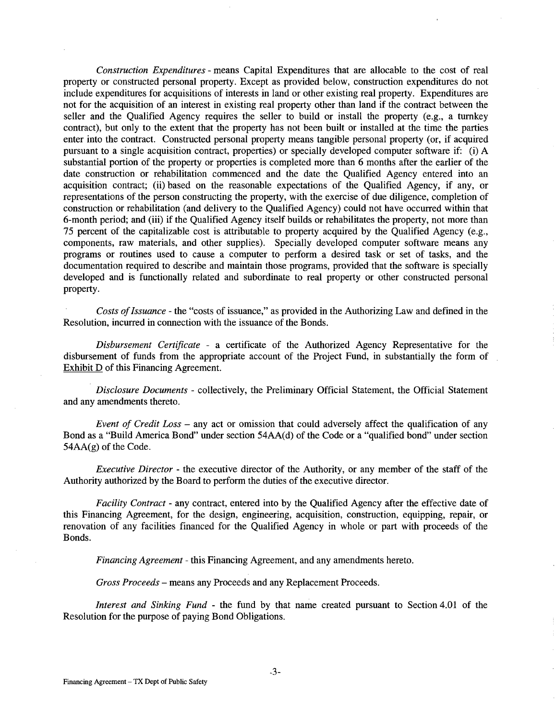*Construction Expenditures* - means Capital Expenditures that are allocable to the cost of real property or constructed personal property. Except as provided below, construction expenditures do not include expenditures for acquisitions of interests in land or other existing real property. Expenditures are not for the acquisition of an interest in existing real property other than land if the contract between the seller and the Qualified Agency requires the seller to build or install the property (e.g., a turnkey contract), but only to the extent that the property has not been built or installed at the time the parties enter into the contract. Constructed personal property means tangible personal property (or, if acquired pursuant to a single acquisition contract, properties) or specially developed computer software if: (i) A substantial portion of the property or properties is completed more than 6 months after the earlier of the date construction or rehabilitation commenced and the date the Qualified Agency entered into an acquisition contract; (ii) based on the reasonable expectations of the Qualified Agency, if any, or representations of the person constructing the property, with the exercise of due diligence, completion of construction or rehabilitation (and delivery to the Qualified Agency) could not have occurred within that 6-month period; and (iii) if the Qualified Agency itself builds or rehabilitates the property, not more than 75 percent of the capitalizable cost is attributable to property acquired by the Qualified Agency (e.g., components, raw materials, and other supplies). Specially developed computer software means any programs or routines used to cause a computer to perform a desired task or set of tasks, and the documentation required to describe and maintain those programs, provided that the software is specially developed and is functionally related and subordinate to real property or other constructed personal property.

*Costs of Issuance* - the "costs of issuance," as provided in the Authorizing Law and defined in the Resolution, incurred in connection with the issuance of the Bonds.

*Disbursement Certificate* - a certificate of the Authorized Agency Representative for the disbursement of funds from the appropriate account of the Project Fund, in substantially the form of Exhibit D of this Financing Agreement.

*Disclosure Documents* - collectively, the Preliminary Official Statement, the Official Statement and any amendments thereto.

*Event of Credit Loss* - any act or omission that could adversely affect the qualification of any Bond as a "Build America Bond" under section 54AA(d) of the Code or a "qualified bond" under section 54AA(g) of the Code.

*Executive Director-* the executive director of the Authority, or any member of the staff of the Authority authorized by the Board to perform the duties of the executive director.

*Facility Contract-* any contract, entered into by the Qualified Agency after the effective date of this Financing Agreement, for the design, engineering, acquisition, construction, equipping, repair, or renovation of any facilities financed for the Qualified Agency in whole or part with proceeds of the Bonds.

*Financing Agreement* - this Financing Agreement, and any amendments hereto.

*Gross Proceeds-* means any Proceeds and any Replacement Proceeds.

*Interest and Sinking Fund* - the fund by that name created pursuant to Section 4.01 of the Resolution for the purpose of paying Bond Obligations.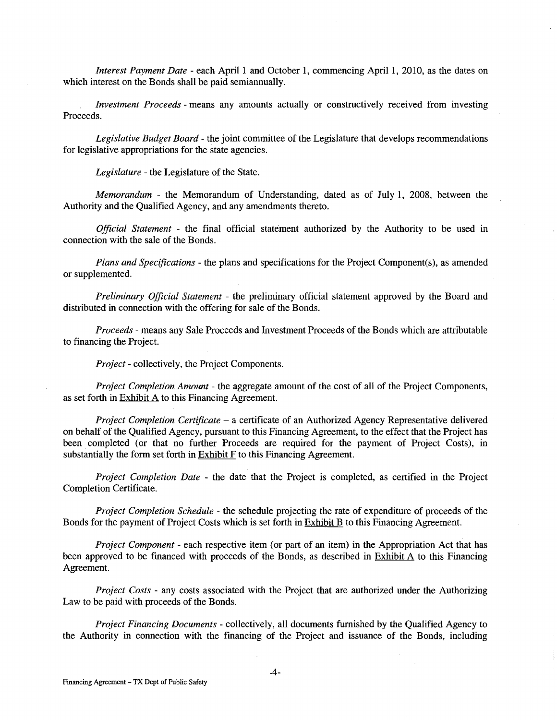*Interest Payment Date* - each April 1 and October 1, commencing April 1, 2010, as the dates on which interest on the Bonds shall be paid semiannually.

*Investment Proceeds* - means any amounts actually or constructively received from investing Proceeds.

*Legislative Budget Board* - the joint committee of the Legislature that develops recommendations for legislative appropriations for the state agencies.

*Legislature* - the Legislature of the State.

*Memorandum* - the Memorandum of Understanding, dated as of July 1, 2008, between the Authority and the Qualified Agency, and any amendments thereto.

*Official Statement* - the final official statement authorized by the Authority to be used in connection with the sale of the Bonds.

*Plans and Specifications-* the plans and specifications for the Project Component(s), as amended or supplemented.

*Preliminary Official Statement* - the preliminary official statement approved by the Board and distributed in connection with the offering for sale of the Bonds.

*Proceeds* - means any Sale Proceeds and Investment Proceeds of the Bonds which are attributable to financing the Project.

*Project-* collectively, the Project Components.

*Project Completion Amount* - the aggregate amount of the cost of all of the Project Components, as set forth in Exhibit  $\overline{A}$  to this Financing Agreement.

*Project Completion Certificate* - a certificate of an Authorized Agency Representative delivered on behalf of the Qualified Agency, pursuant to this Financing Agreement, to the effect that the Project has been completed (or that no further Proceeds are required for the payment of Project Costs), in substantially the form set forth in Exhibit F to this Financing Agreement.

*Project Completion Date* - the date that the Project is completed, as certified in the Project Completion Certificate.

*Project Completion Schedule* - the schedule projecting the rate of expenditure of proceeds of the Bonds for the payment of Project Costs which is set forth in **Exhibit B** to this Financing Agreement.

*Project Component* - each respective item (or part of an item) in the Appropriation Act that has been approved to be financed with proceeds of the Bonds, as described in Exhibit A to this Financing Agreement.

*Project Costs* - any costs associated with the Project that are authorized under the Authorizing Law to be paid with proceeds of the Bonds.

*Project Financing Documents-* collectively, all documents furnished by the Qualified Agency to the Authority in connection with the financing of the Project and issuance of the Bonds, including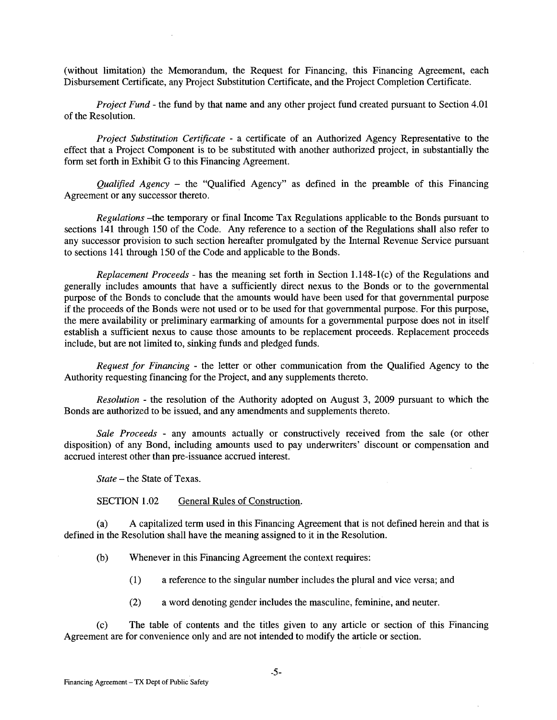(without limitation) the Memorandum, the Request for Financing, this Financing Agreement, each Disbursement Certificate, any Project Substitution Certificate, and the Project Completion Certificate.

*Project Fund-* the fund by that name and any other project fund created pursuant to Section 4.01 of the Resolution.

*Project Substitution Certificate* - a certificate of an Authorized Agency Representative to the effect that a Project Component is to be substituted with another authorized project, in substantially the form set forth in Exhibit G to this Financing Agreement.

*Qualified Agency* - the "Qualified Agency" as defined in the preamble of this Financing Agreement or any successor thereto.

*Regulations* -the temporary or final Income Tax Regulations applicable to the Bonds pursuant to sections 141 through 150 of the Code. Any reference to a section of the Regulations shall also refer to any successor provision to such section hereafter promulgated by the Internal Revenue Service pursuant to sections 141 through 150 of the Code and applicable to the Bonds.

*Replacement Proceeds -* has the meaning set forth in Section 1.148-1(c) of the Regulations and generally includes amounts that have a sufficiently direct nexus to the Bonds or to the governmental purpose of the Bonds to conclude that the amounts would have been used for that governmental purpose if the proceeds of the Bonds were not used or to be used for that governmental purpose. For this purpose, the mere availability or preliminary earmarking of amounts for a governmental purpose does not in itself establish a sufficient nexus to cause those amounts to be replacement proceeds. Replacement proceeds include, but are not limited to, sinking funds and pledged funds.

*Request for Financing* - the letter or other communication from the Qualified Agency to the Authority requesting financing for the Project, and any supplements thereto.

*Resolution* - the resolution of the Authority adopted on August 3, 2009 pursuant to which the Bonds are authorized to be issued, and any amendments and supplements thereto.

*Sale Proceeds* - any amounts actually or constructively received from the sale (or other disposition) of any Bond, including amounts used to pay underwriters' discount or compensation and accrued interest other than pre-issuance accrued interest.

*State* - the State of Texas.

SECTION 1.02 General Rules of Construction.

(a) A capitalized term used in this Financing Agreement that is not defined herein and that is defined in the Resolution shall have the meaning assigned to it in the Resolution.

(b) Whenever in this Financing Agreement the context requires:

( 1) a reference to the singular number includes the plural and vice versa; and

(2) a word denoting gender includes the masculine, feminine, and neuter.

(c) The table of contents and the titles given to any article or section of this Financing Agreement are for convenience only and are not intended to modify the article or section.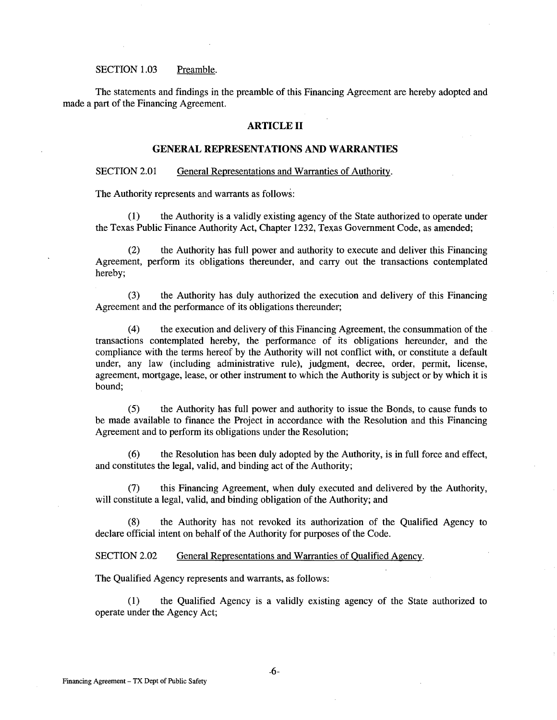#### SECTION 1.03 Preamble.

The statements and findings in the preamble of this Financing Agreement are hereby adopted and made a part of the Financing Agreement.

#### **ARTICLE II**

#### **GENERAL REPRESENTATIONS AND WARRANTIES**

#### SECTION 2.01 General Representations and Warranties of Authority.

The Authority represents and warrants as follows:

(1) the Authority is a validly existing agency of the State authorized to operate under the Texas Public Finance Authority Act, Chapter 1232, Texas Government Code, as amended;

(2) the Authority has full power and authority to execute and deliver this Financing Agreement, perform its obligations thereunder, and carry out the transactions contemplated hereby;

(3) the Authority has duly authorized the execution and delivery of this Financing Agreement and the performance of its obligations thereunder;

(4) the execution and delivery of this Financing Agreement, the consummation of the transactions contemplated hereby, the performance of its obligations hereunder, and the compliance with the terms hereof by the Authority will not conflict with, or constitute a default under, any law (including administrative rule), judgment, decree, order, permit, license, agreement, mortgage, lease, or other instrument to which the Authority is subject or by which it is bound;

(5) the Authority has full power and authority to issue the Bonds, to cause funds to be made available to finance the Project in accordance with the Resolution and this Financing Agreement and to perform its obligations under the Resolution;

(6) the Resolution has been duly adopted by the Authority, is in full force and effect, and constitutes the legal, valid, and binding act of the Authority;

(7) this Financing Agreement, when duly executed and delivered by the Authority, will constitute a legal, valid, and binding obligation of the Authority; and

(8) the Authority has not revoked its authorization of the Qualified Agency to declare official intent on behalf of the Authority for purposes of the Code.

SECTION 2.02 General Representations and Warranties of Qualified Agency.

The Qualified Agency represents and warrants, as follows:

(1) the Qualified Agency is a validly existing agency of the State authorized to operate under the Agency Act;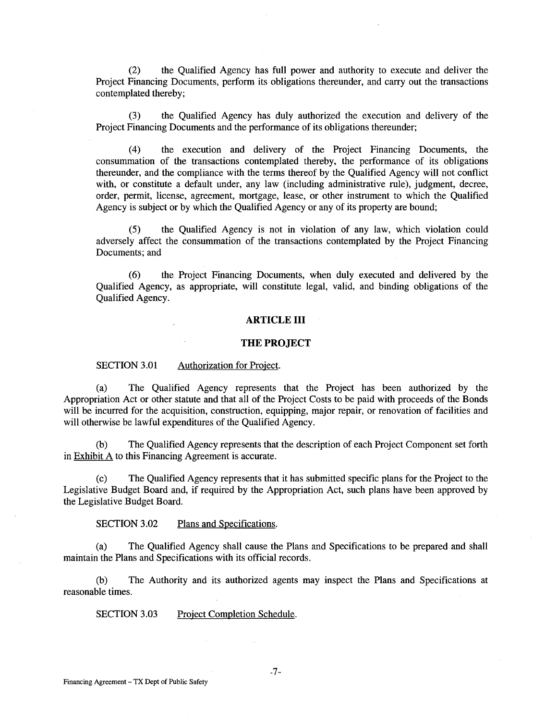(2) the Qualified Agency has full power and authority to execute and deliver the Project Financing Documents, perform its obligations thereunder, and carry out the transactions contemplated thereby;

(3) the Qualified Agency has duly authorized the execution and delivery of the Project Financing Documents and the performance of its obligations thereunder;

(4) the execution and delivery of the Project Financing Documents, the consummation of the transactions contemplated thereby, the performance of its obligations thereunder, and the compliance with the terms thereof by the Qualified Agency will not conflict with, or constitute a default under, any law (including administrative rule), judgment, decree, order, permit, license, agreement, mortgage, lease, or other instrument to which the Qualified Agency is subject or by which the Qualified Agency or any of its property are bound;

(5) the Qualified Agency is not in violation of any law, which violation could adversely affect the consummation of the transactions contemplated by the Project Financing Documents; and

(6) the Project Financing Documents, when duly executed and delivered by the Qualified Agency, as appropriate, will constitute legal, valid, and binding obligations of the Qualified Agency.

### **ARTICLE III**

#### **THE PROJECT**

SECTION 3.01 Authorization for Project.

(a) The Qualified Agency represents that the Project has been authorized by the Appropriation Act or other statute and that all of the Project Costs to be paid with proceeds of the Bonds will be incurred for the acquisition, construction, equipping, major repair, or renovation of facilities and will otherwise be lawful expenditures of the Qualified Agency.

(b) The Qualified Agency represents that the description of each Project Component set forth in Exhibit A to this Financing Agreement is accurate.

(c) The Qualified Agency represents that it has submitted specific plans for the Project to the Legislative Budget Board and, if required by the Appropriation Act, such plans have been approved by the Legislative Budget Board.

SECTION 3.02 Plans and Specifications.

(a) The Qualified Agency shall cause the Plans and Specifications to be prepared and shall maintain the Plans and Specifications with its official records.

(b) The Authority and its authorized agents may inspect the Plans and Specifications at reasonable times.

SECTION 3.03 Project Completion Schedule.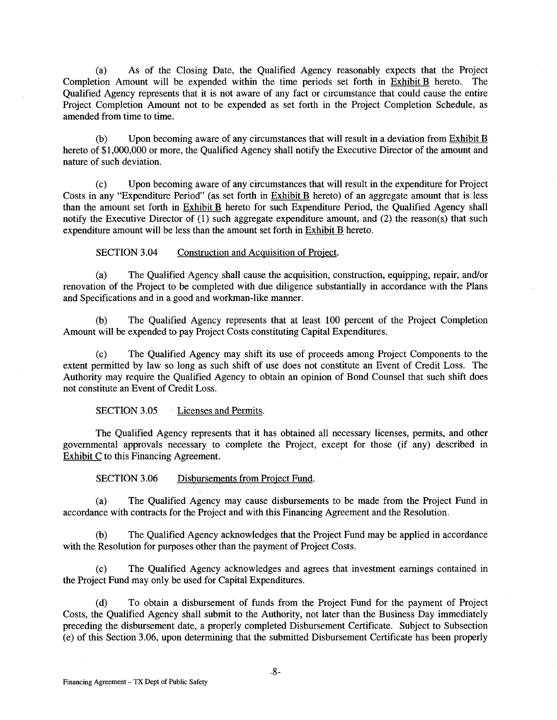(a) As of the Closing Date, the Qualified Agency reasonably expects that the Project Completion Amount will be expended within the time periods set forth in Exhibit B hereto. The Qualified Agency represents that it is not aware of any fact or circumstance that could cause the entire Project Completion Amount not to be expended as set forth in the Project Completion Schedule, as amended from time to time.

(b) Upon becoming aware of any circumstances that will result in a deviation from Exhibit B hereto of \$1,000,000 or more, the Qualified Agency shall notify the Executive Director of the amount and nature of such deviation.

(c) Upon becoming aware of any circumstances that will result in the expenditure for Project Costs in any "Expenditure Period" (as set forth in Exhibit B hereto) of an aggregate amount that is less than the amount set forth in Exhibit B hereto for such Expenditure Period, the Qualified Agency shall notify the Executive Director of (1) such aggregate expenditure amount, and (2) the reason(s) that such expenditure amount will be less than the amount set forth in Exhibit B hereto.

SECTION 3.04 Construction and Acquisition of Project.

(a) The Qualified Agency shall cause the acquisition, construction, equipping, repair, and/or renovation of the Project to be completed with due diligence substantially in accordance with the Plans and Specifications and in a good and workman-like manner.

(b) The Qualified Agency represents that at least 100 percent of the Project Completion Amount will be expended to pay Project Costs constituting Capital Expenditures.

(c) The Qualified Agency may shift its use of proceeds among Project Components to the extent permitted by law so long as such shift of use does not constitute an Event of Credit Loss. The Authority may require the Qualified Agency to obtain an opinion of Bond Counsel that such shift does not constitute an Event of Credit Loss.

SECTION 3.05 Licenses and Permits.

The Qualified Agency represents that it has obtained all necessary licenses, permits, and other governmental approvals necessary to complete the Project, except for those (if any) described in Exhibit C to this Financing Agreement.

SECTION 3.06 Disbursements from Project Fund.

(a) The Qualified Agency may cause disbursements to be made from the Project Fund in accordance with contracts for the Project and with this Financing Agreement and the Resolution.

(b) The Qualified Agency acknowledges that the Project Fund may be applied in accordance with the Resolution for purposes other than the payment of Project Costs.

(c) The Qualified Agency acknowledges and agrees that investment earnings contained in the Project Fund may only be used for Capital Expenditures.

(d) To obtain a disbursement of funds from the Project Fund for the payment of Project Costs, the Qualified Agency shall submit to the Authority, not later than the Business Day immediately preceding the disbursement date, a properly completed Disbursement Certificate. Subject to Subsection (e) of this Section 3.06, upon determining that the submitted Disbursement Certificate has been properly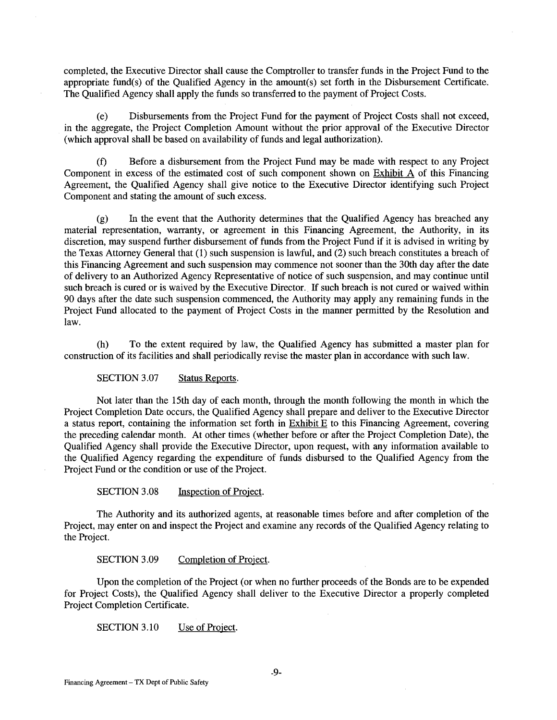completed, the Executive Director shall cause the Comptroller to transfer funds in the Project Fund to the appropriate fund(s) of the Qualified Agency in the amount(s) set forth in the Disbursement Certificate. The Qualified Agency shall apply the funds so transferred to the payment of Project Costs.

(e) Disbursements from the Project Fund for the payment of Project Costs shall not exceed, in the aggregate, the Project Completion Amount without the prior approval of the Executive Director (which approval shall be based on availability of funds and legal authorization).

(f) Before a disbursement from the Project Fund may be made with respect to any Project Component in excess of the estimated cost of such component shown on Exhibit A of this Financing Agreement, the Qualified Agency shall give notice to the Executive Director identifying such Project Component and stating the amount of such excess.

(g) In the event that the Authority determines that the Qualified Agency has breached any material representation, warranty, or agreement in this Financing Agreement, the Authority, in its discretion, may suspend further disbursement of funds from the Project Fund if it is advised in writing by the Texas Attorney General that (1) such suspension is lawful, and (2) such breach constitutes a breach of this Financing Agreement and such suspension may commence not sooner than the 30th day after the date of delivery to an Authorized Agency Representative of notice of such suspension, and may continue until such breach is cured or is waived by the Executive Director. If such breach is not cured or waived within 90 days after the date such suspension commenced, the Authority may apply any remaining funds in the Project Fund allocated to the payment of Project Costs in the manner permitted by the Resolution and law.

(h) To the extent required by law, the Qualified Agency has submitted a master plan for construction of its facilities and shall periodically revise the master plan in accordance with such law.

SECTION 3.07 Status Reports.

Not later than the 15th day of each month, through the month following the month in which the Project Completion Date occurs, the Qualified Agency shall prepare and deliver to the Executive Director a status report, containing the information set forth in  $Exhibit E$  to this Financing Agreement, covering the preceding calendar month. At other times (whether before or after the Project Completion Date), the Qualified Agency shall provide the Executive Director, upon request, with any information available to the Qualified Agency regarding the expenditure of funds disbursed to the Qualified Agency from the Project Fund or the condition or use of the Project.

SECTION 3.08 Inspection of Project.

The Authority and its authorized agents, at reasonable times before and after completion of the Project, may enter on and inspect the Project and examine any records of the Qualified Agency relating to the Project.

SECTION 3.09 Completion of Project.

Upon the completion of the Project (or when no further proceeds of the Bonds are to be expended for Project Costs), the Qualified Agency shall deliver to the Executive Director a properly completed Project Completion Certificate.

SECTION 3.10 Use of Project.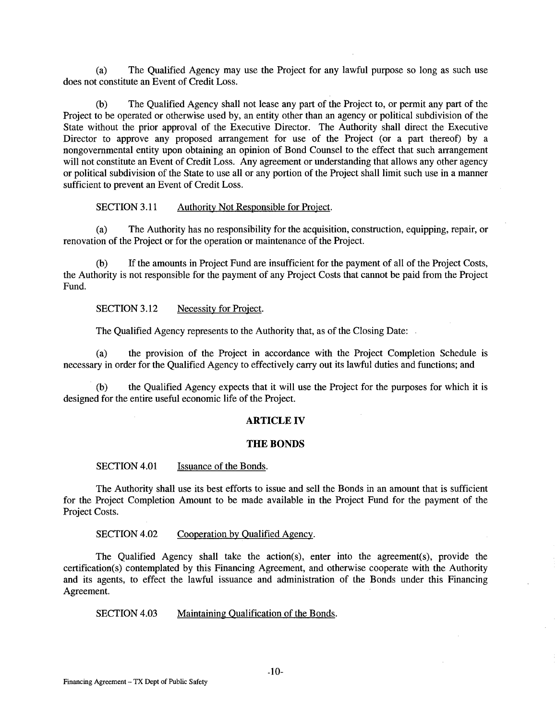(a) The Qualified Agency may use the Project for any lawful purpose so long as such use does not constitute an Event of Credit Loss.

(b) The Qualified Agency shall not lease any part of the Project to, or permit any part of the Project to be operated or otherwise used by, an entity other than an agency or political subdivision of the State without the prior approval of the Executive Director. The Authority shall direct the Executive Director to approve any proposed arrangement for use of the Project (or a part thereof) by a nongovernmental entity upon obtaining an opinion of Bond Counsel to the effect that such arrangement will not constitute an Event of Credit Loss. Any agreement or understanding that allows any other agency or political subdivision of the State to use all or any portion of the Project shall limit such use in a manner sufficient to prevent an Event of Credit Loss.

SECTION 3.11 Authority Not Responsible for Project.

(a) The Authority has no responsibility for the acquisition, construction, equipping, repair, or renovation of the Project or for the operation or maintenance of the Project.

(b) If the amounts in Project Fund are insufficient for the payment of all of the Project Costs, the Authority is not responsible for the payment of any Project Costs that cannot be paid from the Project Fund.

SECTION 3.12 Necessity for Project.

The Qualified Agency represents to the Authority that, as of the Closing Date:

(a) the provision of the Project in accordance with the Project Completion Schedule is necessary in order for the Qualified Agency to effectively carry out its lawful duties and functions; and

(b) the Qualified Agency expects that it will use the Project for the purposes for which it is designed for the entire useful economic life of the Project.

# **ARTICLE IV**

### **THE BONDS**

SECTION 4.01 Issuance of the Bonds.

The Authority shall use its best efforts to issue and sell the Bonds in an amount that is sufficient for the Project Completion Amount to be made available in the Project Fund for the payment of the Project Costs.

SECTION 4.02 Cooperation by Qualified Agency.

The Qualified Agency shall take the action(s), enter into the agreement(s), provide the certification(s) contemplated by this Financing Agreement, and otherwise cooperate with the Authority and its agents, to effect the lawful issuance and administration of the Bonds under this Financing Agreement.

SECTION 4.03 Maintaining Qualification of the Bonds.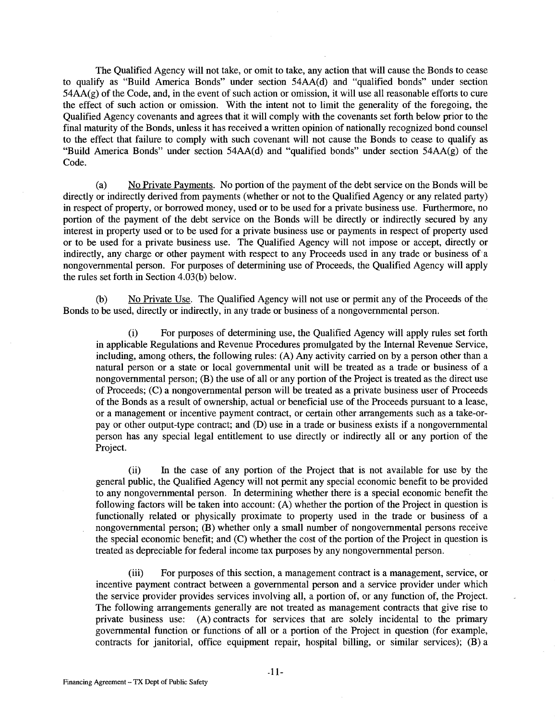The Qualified Agency will not take, or omit to take, any action that will cause the Bonds to cease to qualify as "Build America Bonds" under section 54AA(d) and "qualified bonds" under section 54AA(g) of the Code, and, in the event of such action or omission, it will use all reasonable efforts to cure the effect of such action or omission. With the intent not to limit the generality of the foregoing, the Qualified Agency covenants and agrees that it will comply with the covenants set forth below prior to the final maturity of the Bonds, unless it has received a written opinion of nationally recognized bond counsel to the effect that failure to comply with such covenant will not cause the Bonds to cease to qualify as "Build America Bonds" under section 54AA(d) and "qualified bonds" under section 54AA(g) of the Code.

(a) No Private Payments. No portion of the payment of the debt service on the Bonds will be directly or indirectly derived from payments (whether or not to the Qualified Agency or any related party) in respect of property, or borrowed money, used or to be used for a private business use. Furthermore, no portion of the payment of the debt service on the Bonds will be directly or indirectly secured by any interest in property used or to be used for a private business use or payments in respect of property used or to be used for a private business use. The Qualified Agency will not impose or accept, directly or indirectly, any charge or other payment with respect to any Proceeds used in any trade or business of'a nongovernmental person. For purposes of determining use of Proceeds, the Qualified Agency will apply the rules set forth in Section 4.03(b) below.

(b) No Private Use. The Qualified Agency will not use or permit any of the Proceeds of the Bonds to be used, directly or indirectly, in any trade or business of a nongovernmental person.

(i) For purposes of determining use, the Qualified Agency will apply rules set forth in applicable Regulations and Revenue Procedures promulgated by the Internal Revenue Service, including, among others, the following rules: (A) Any activity carried on by a person other than a natural person or a state or local governmental unit will be treated as a trade or business of a nongovernmental person; (B) the use of all or any portion of the Project is treated as the direct use of Proceeds; (C) a nongovernmental person will be treated as a private business user of Proceeds of the Bonds as a result of ownership, actual or beneficial use of the Proceeds pursuant to a lease, or a management or incentive payment contract, or certain other arrangements such as a take-orpay or other output-type contract; and (D) use in a trade or business exists if a nongovernmental person has any special legal entitlement to use directly or indirectly all or any portion of the Project.

(ii) In the case of any portion of the Project that is not available for use by the general public, the Qualified Agency will not permit any special economic benefit to be provided to any nongovernmental person. In determining whether there is a special economic benefit the following factors will be taken into account: (A) whether the portion of the Project in question is functionally related or physically proximate to property used in the trade or business of a nongovernmental person; (B) whether only a small number of nongovernmental persons receive the special economic benefit; and (C) whether the cost of the portion of the Project in question is treated as depreciable for federal income tax purposes by any nongovernmental person.

(iii) For purposes of this section, a management contract is a management, service, or incentive payment contract between a governmental person and a service provider under which the service provider provides services involving all, a portion of, or any function of, the Project. The following arrangements generally are not treated as management contracts that give rise to private business use: (A) contracts for services that are solely incidental to the primary governmental function or functions of all or a portion of the Project in question (for example, contracts for janitorial, office equipment repair, hospital billing, or similar services); (B) a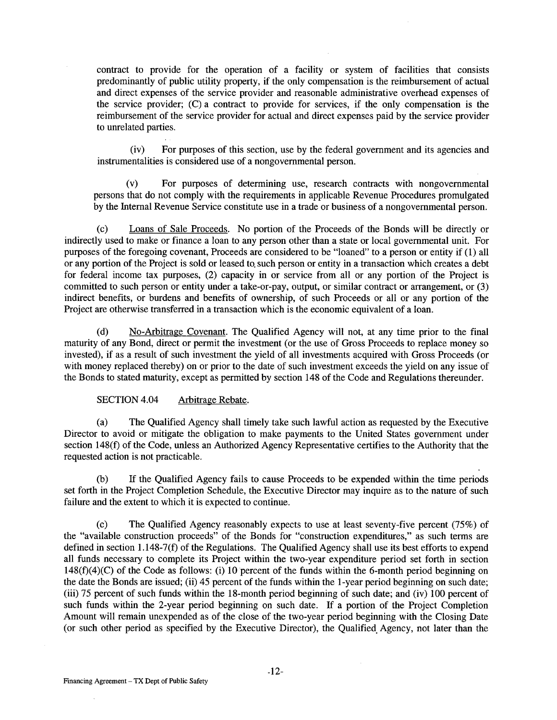contract to provide for the operation of a facility or system of facilities that consists predominantly of public utility property, if the only compensation is the reimbursement of actual and direct expenses of the service provider and reasonable administrative overhead expenses of the service provider; (C) a contract to provide for services, if the only compensation is the reimbursement of the service provider for actual and direct expenses paid by the service provider to unrelated parties.

(iv) For purposes of this section, use by the federal government and its agencies and instrumentalities is considered use of a nongovernmental person.

(v) For purposes of determining use, research contracts with nongovernmental persons that do not comply with the requirements in applicable Revenue Procedures promulgated by the Internal Revenue Service constitute use in a trade or business of a nongovernmental person.

(c) Loans of Sale Proceeds. No portion of the Proceeds of the Bonds will be directly or indirectly used to make or finance a loan to any person other than a state or local governmental unit. For purposes of the foregoing covenant, Proceeds are considered to be "loaned" to a person or entity if ( 1) all or any portion of the Project is sold or leased to. such person or entity in a transaction which creates a debt for federal income tax purposes, (2) capacity in or service from all or any portion of the Project is committed to such person or entity under a take-or-pay, output, or similar contract or arrangement, or (3) indirect benefits, or burdens and benefits of ownership, of such Proceeds or all or any portion of the Project are otherwise transferred in a transaction which is the economic equivalent of a loan.

(d) No-Arbitrage Covenant. The Qualified Agency will not, at any time prior to the final maturity of any Bond, direct or permit the investment (or the use of Gross Proceeds to replace money so invested), if as a result of such investment the yield of all investments acquired with Gross Proceeds (or with money replaced thereby) on or prior to the date of such investment exceeds the yield on any issue of the Bonds to stated maturity, except as permitted by section 148 of the Code and Regulations thereunder.

SECTION 4.04 Arbitrage Rebate.

(a) The Qualified Agency shall timely take such lawful action as requested by the Executive Director to avoid or mitigate the obligation to make payments to the United States government under section 148(f) of the Code, unless an Authorized Agency Representative certifies to the Authority that the requested action is not practicable.

(b) If the Qualified Agency fails to cause Proceeds to be expended within the time periods set forth in the Project Completion Schedule, the Executive Director may inquire as to the nature of such failure and the extent to which it is expected to continue.

(c) The Qualified Agency reasonably expects to use at least seventy-five percent (75%) of the "available construction proceeds" of the Bonds for "construction expenditures," as such terms are defined in section 1.148-7(f) of the Regulations. The Qualified Agency shall use its best efforts to expend all funds necessary to complete its Project within the two-year expenditure period set forth in section 148(f)(4)(C) of the Code as follows: (i) 10 percent of the funds within the 6-month period beginning on the date the Bonds are issued; (ii) 45 percent of the funds within the 1-year period beginning on such date; (iii) 75 percent of such funds within the 18-month period beginning of such date; and (iv) 100 percent of such funds within the 2-year period beginning on such date. If a portion of the Project Completion Amount will remain unexpended as of the close of the two-year period beginning with the Closing Date (or such other period as specified by the Executive Director), the Qualified. Agency, not later than the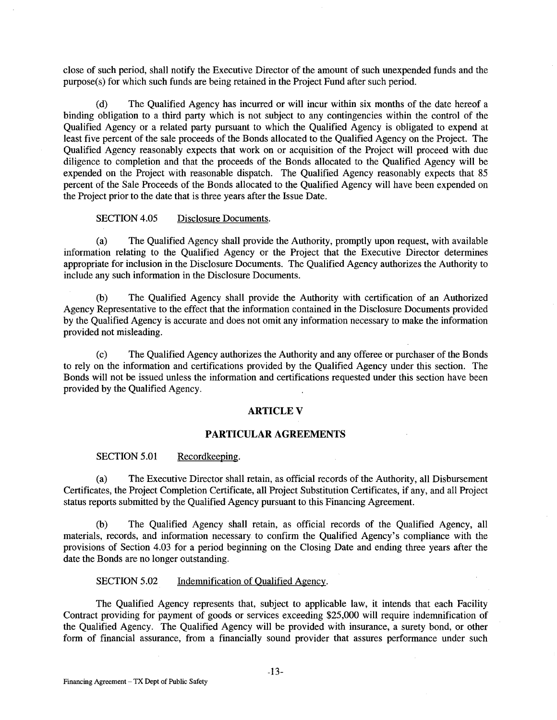close of such period, shall notify the Executive Director of the amount of such unexpended funds and the purpose(s) for which such funds are being retained in the Project Fund after such period.

(d) The Qualified Agency has incurred or will incur within six months of the date hereof a binding obligation to a third party which is not subject to any contingencies within the control of the Qualified Agency or a related party pursuant to which the Qualified Agency is obligated to expend at least five percent of the sale proceeds of the Bonds allocated to the Qualified Agency on the Project. The Qualified Agency reasonably expects that work on or acquisition of the Project will proceed with due diligence to completion and that the proceeds of the Bonds allocated to the Qualified Agency will be expended on the Project with reasonable dispatch. The Qualified Agency reasonably expects that 85 percent of the Sale Proceeds of the Bonds allocated to the Qualified Agency will have been expended on the Project prior to the date that is three years after the Issue Date.

### SECTION 4.05 Disclosure Documents.

(a) The Qualified Agency shall provide the Authority, promptly upon request, with available information relating to the Qualified Agency or the Project that the Executive Director determines appropriate for inclusion in the Disclosure Documents. The Qualified Agency authorizes the Authority to include any such information in the Disclosure Documents.

(b) The Qualified Agency shall provide the Authority with certification of an Authorized Agency Representative to the effect that the information contained in the Disclosure Documents provided by the Qualified Agency is accurate and does not omit any information necessary to make the information provided not misleading.

(c) The Qualified Agency authorizes the Authority and any offeree or purchaser of the Bonds to rely on the information and certifications provided by the Qualified Agency under this section. The Bonds will not be issued unless the information and certifications requested under this section have been provided by the Qualified Agency.

#### **ARTICLEV**

### **PARTICULAR AGREEMENTS**

#### SECTION 5.01 Recordkeeping.

(a) The Executive Director shall retain, as official records of the Authority, all Disbursement Certificates, the Project Completion Certificate, all Project Substitution Certificates, if any, and all Project status reports submitted by the Qualified Agency pursuant to this Financing Agreement.

(b) The Qualified Agency shall retain, as official records of the Qualified Agency, all materials, records, and information necessary to confirm the Qualified Agency's compliance with the provisions of Section 4.03 for a period beginning on the Closing Date and ending three years after the date the Bonds are no longer outstanding.

#### SECTION 5.02 Indemnification of Qualified Agency.

The Qualified Agency represents that, subject to applicable law, it intends that each Facility Contract providing for payment of goods or services exceeding \$25,000 will require indemnification of the Qualified Agency. The Qualified Agency will be provided with insurance, a surety bond, or other form of financial assurance, from a financially sound provider that assures performance under such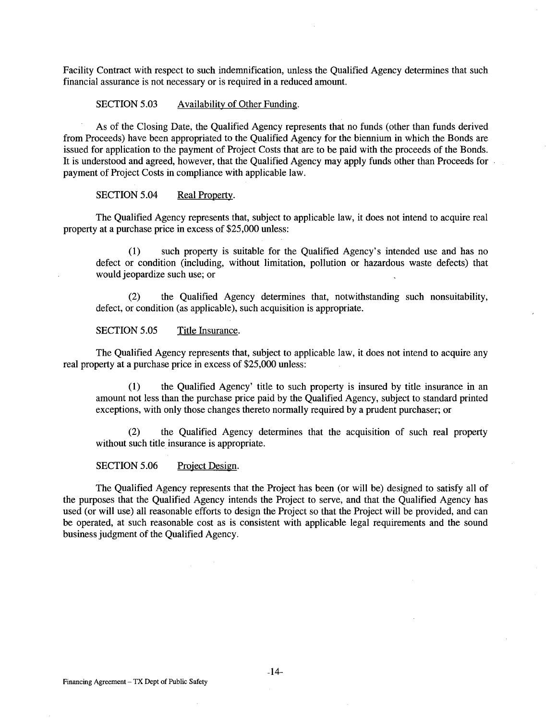Facility Contract with respect to such indemnification, unless the Qualified Agency determines that such financial assurance is not necessary or is required in a reduced amount.

#### SECTION 5.03 Availability of Other Funding.

As of the Closing Date, the Qualified Agency represents that no funds (other than funds derived from Proceeds) have been appropriated to the Qualified Agency for the biennium in which the Bonds are issued for application to the payment of Project Costs that are to be paid with the proceeds of the Bonds. It is understood and agreed, however, that the Qualified Agency may apply funds other than Proceeds for payment of Project Costs in compliance with applicable law.

#### SECTION 5.04 Real Property.

The Qualified Agency represents that, subject to applicable law, it does not intend to acquire real property at a purchase price in excess of \$25,000 unless:

(1) such property is suitable for the Qualified Agency's intended use and has no defect or condition (including, without limitation, pollution or hazardous waste defects) that would jeopardize such use; or

(2) the Qualified Agency determines that, notwithstanding such nonsuitability, defect, or condition (as applicable), such acquisition is appropriate.

### SECTION 5.05 Title Insurance.

The Qualified Agency represents that, subject to applicable law, it does not intend to acquire any real property at a purchase price in excess of \$25,000 unless:

(1) the Qualified Agency' title to such property is insured by title insurance in an amount not less than the purchase price paid by the Qualified Agency, subject to standard printed exceptions, with only those changes thereto normally required by a prudent purchaser; or

(2) the Qualified Agency determines that the acquisition of such real property without such title insurance is appropriate.

SECTION 5.06 Project Design.

The Qualified Agency represents that the Project has been (or will be) designed to satisfy all of the purposes that the Qualified Agency intends the Project to serve, and that the Qualified Agency has used (or will use) all reasonable efforts to design the Project so that the Project will be provided, and can be operated, at such reasonable cost as is consistent with applicable legal requirements and the sound business judgment of the Qualified Agency.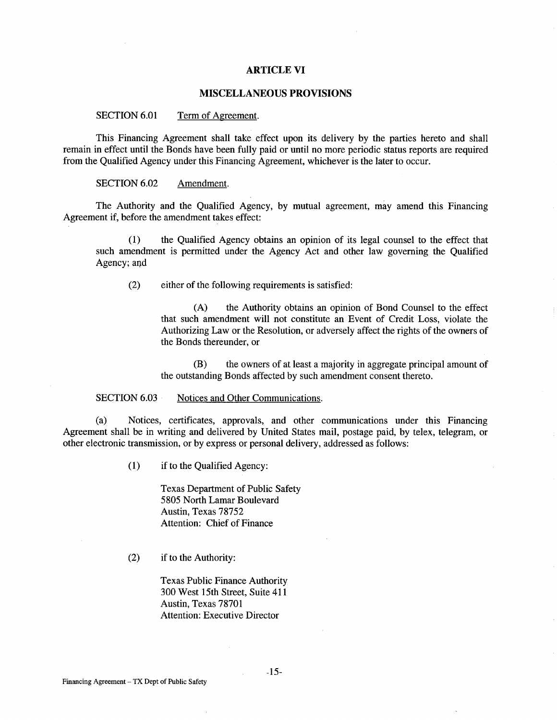#### **ARTICLE VI**

#### **MISCELLANEOUS PROVISIONS**

SECTION 6.01 Term of Agreement.

This Financing Agreement shall take effect upon its delivery by the parties hereto and shall remain in effect until the Bonds have been fully paid or until no more periodic status reports are required from the Qualified Agency under this Financing Agreement, whichever is the later to occur.

SECTION 6.02 Amendment.

The Authority and the Qualified Agency, by mutual agreement, may amend this Financing Agreement if, before the amendment takes effect:

( 1) the Qualified Agency obtains an opinion of its legal counsel to the effect that such amendment is permitted under the Agency Act and other law governing the Qualified Agency; and

(2) either of the following requirements is satisfied:

(A) the Authority obtains an opinion of Bond Counsel to the effect that such amendment will not constitute an Event of Credit Loss, violate the Authorizing Law or the Resolution, or adversely affect the rights of the owners of the Bonds thereunder, or

(B) the owners of at least a majority in aggregate principal amount of the outstanding Bonds affected by such amendment consent thereto.

SECTION 6.03 Notices and Other Communications.

(a) Notices, certificates, approvals, and other communications under this Financing Agreement shall be in writing and delivered by United States mail, postage paid, by telex, telegram, or other electronic transmission, or by express or personal delivery, addressed as follows:

(1) if to the Qualified Agency:

Texas Department of Public Safety 5805 North Lamar Boulevard Austin, Texas 78752 Attention: Chief of Finance

(2) if to the Authority:

Texas Public Finance Authority 300 West 15th Street, Suite 411 Austin, Texas 78701 Attention: Executive Director

-15-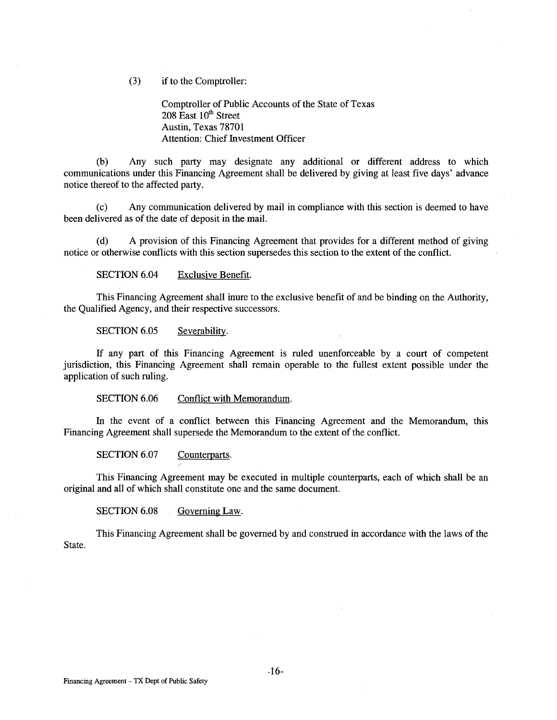(3) if to the Comptroller:

Comptroller of Public Accounts of the State of Texas  $208$  East  $10<sup>th</sup>$  Street Austin, Texas 78701 Attention: Chief Investment Officer

(b) Any such party may designate any additional or different address to which communications under this Financing Agreement shall be delivered by giving at least five days' advance notice thereof to the affected party.

(c) Any communication delivered by mail in compliance with this section is deemed to have been delivered as of the date of deposit in the mail.

(d) A provision of this Financing Agreement that provides for a different method of giving notice or otherwise conflicts with this section supersedes this section to the extent of the conflict.

SECTION 6.04 Exclusive Benefit.

This Financing Agreement shall inure to the exclusive benefit of and be binding on the Authority, the Qualified Agency, and their respective successors.

SECTION 6.05 Severability.

If any part of this Financing Agreement is ruled unenforceable by a court of competent jurisdiction, this Financing Agreement shall remain operable to the fullest extent possible under the application of such ruling.

SECTION 6.06 Conflict with Memorandum.

In the event of a conflict between this Financing Agreement and the Memorandum, this Financing Agreement shall supersede the Memorandum to the extent of the conflict.

SECTION 6.07 Counterparts.

This Financing Agreement may be executed in multiple counterparts, each of which shall be an original and all of which shall constitute one and the same document.

SECTION 6.08 Governing Law.

This Financing Agreement shall be governed by and construed in accordance with the laws of the State.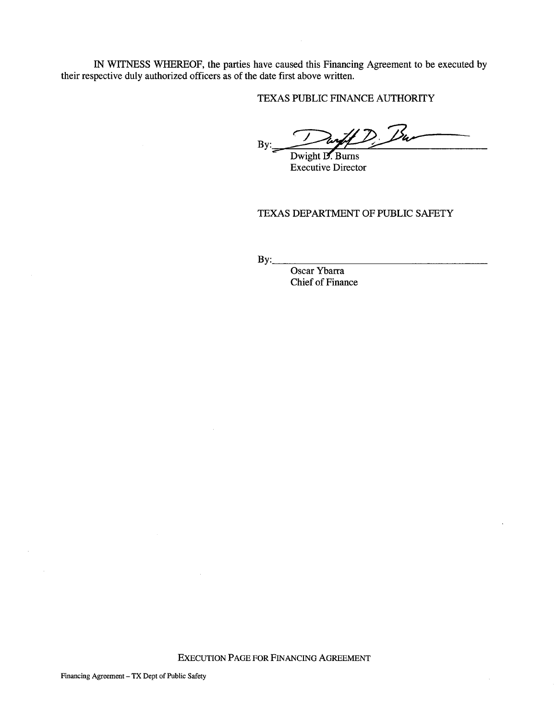IN WITNESS WHEREOF, the parties have caused this Financing Agreement to be executed by their respective duly authorized officers as of the date first above written.

TEXAS PUBLIC FINANCE AUTHORITY

By: weed this Financing Agreement to be executed by<br>st above written.<br>SPUBLIC FINANCE AUTHORITY<br>Dwight D. Burns<br>Executive Director Durff D. Bu

Executive Director

TEXAS DEPARTMENT OF PUBLIC SAFETY

By: \_\_\_\_\_\_\_\_\_\_\_\_\_\_\_\_ \_

Oscar Ybarra Chief of Finance

 $\bar{z}$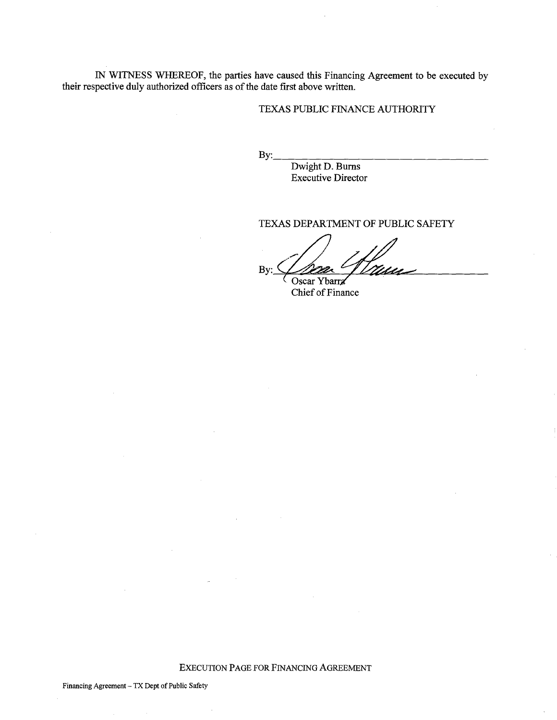IN WITNESS WHEREOF, the parties have caused this Financing Agreement to be executed by their respective duly authorized officers as of the date first above written.

# TEXAS PUBLIC FINANCE AUTHORITY

By: \_\_\_\_\_\_\_\_\_\_\_\_\_\_\_\_ \_

Dwight D. Burns Executive Director

TEXAS DEPARTMENT OF PUBLIC SAFETY

 $By:$   $\frac{1}{\sqrt{2\pi}}$   $\frac{1}{\sqrt{2\pi}}$ 

Chief of Finance

EXECUTION PAGE FOR FINANCING AGREEMENT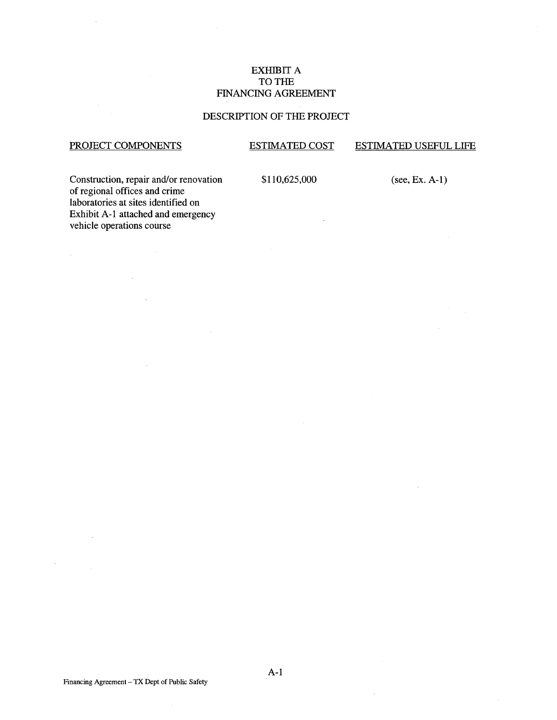# EXHIBIT A TO THE FINANCING AGREEMENT

# DESCRIPTION OF THE PROJECT

# PROJECT COMPONENTS

 $\mathcal{L}^{(1)}$ 

 $\bar{A}$ 

#### ESTIMATED COST ESTIMATED USEFUL LIFE

Construction, repair and/or renovation of regional offices and crime laboratories at sites identified on Exhibit A-1 attached and emergency vehicle operations course

 $\sim$ 

 $\mathbb{R}^2$ 

\$110,625,000

 $\mathcal{A}$ 

(see, Ex. A-1)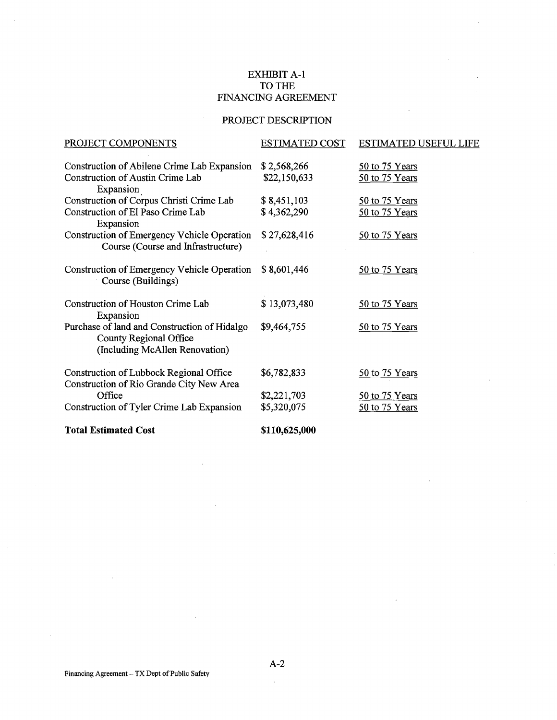# EXHIBIT A-1 TO THE FINANCING AGREEMENT

# PROJECT DESCRIPTION

| PROJECT COMPONENTS                                                                                       | <b>ESTIMATED COST</b>       | ESTIMATED USEFUL LIFE            |
|----------------------------------------------------------------------------------------------------------|-----------------------------|----------------------------------|
| Construction of Abilene Crime Lab Expansion<br>Construction of Austin Crime Lab<br>Expansion             | \$2,568,266<br>\$22,150,633 | 50 to 75 Years<br>50 to 75 Years |
| Construction of Corpus Christi Crime Lab                                                                 | \$8,451,103                 | 50 to 75 Years                   |
| Construction of El Paso Crime Lab<br>Expansion                                                           | \$4,362,290                 | 50 to 75 Years                   |
| Construction of Emergency Vehicle Operation<br>Course (Course and Infrastructure)                        | \$27,628,416                | 50 to 75 Years                   |
| Construction of Emergency Vehicle Operation<br>Course (Buildings)                                        | \$8,601,446                 | 50 to 75 Years                   |
| Construction of Houston Crime Lab<br>Expansion                                                           | \$13,073,480                | 50 to 75 Years                   |
| Purchase of land and Construction of Hidalgo<br>County Regional Office<br>(Including McAllen Renovation) | \$9,464,755                 | 50 to 75 Years                   |
| Construction of Lubbock Regional Office<br>Construction of Rio Grande City New Area                      | \$6,782,833                 | 50 to 75 Years                   |
| Office                                                                                                   | \$2,221,703                 | 50 to 75 Years                   |
| Construction of Tyler Crime Lab Expansion                                                                | \$5,320,075                 | 50 to 75 Years                   |
| <b>Total Estimated Cost</b>                                                                              | \$110,625,000               |                                  |

 $\bar{z}$ 

A-2

 $\bar{z}$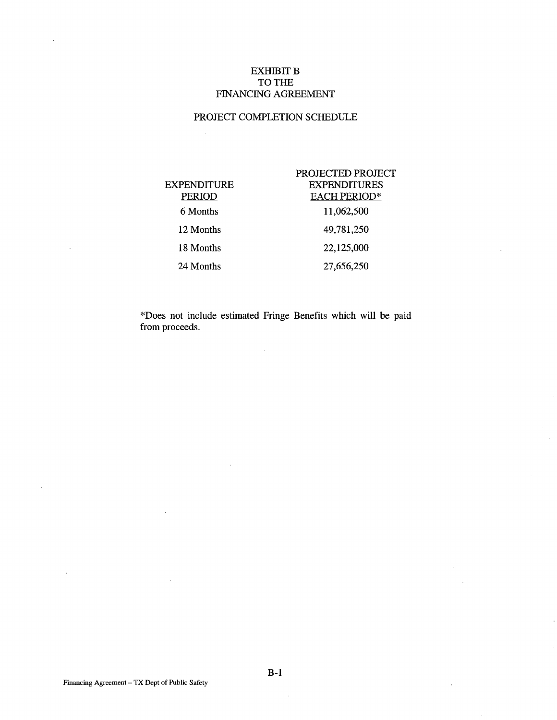# EXHIBIT B TO THE FINANCING AGREEMENT

# PROJECT COMPLETION SCHEDULE

 $\ddot{\phantom{a}}$ 

|             | PROJECTED PROJECT   |
|-------------|---------------------|
| EXPENDITURE | <b>EXPENDITURES</b> |
| PERIOD      | <b>EACH PERIOD*</b> |
| 6 Months    | 11,062,500          |
| 12 Months   | 49,781,250          |
| 18 Months   | 22,125,000          |
| 24 Months   | 27,656,250          |

\*Does not include estimated Fringe Benefits which will be paid from proceeds.

 $\hat{\mathcal{A}}$ 

 $\bar{z}$ 

B-1

 $\mathcal{L}_{\mathcal{A}}$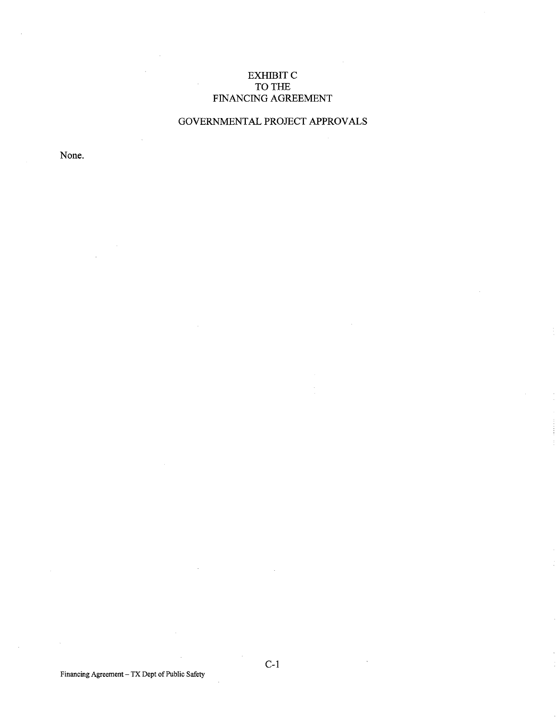# EXHIBIT C TO THE FINANCING AGREEMENT

# GOVERNMENTAL PROJECT APPROVALS

None.

Financing Agreement- TX Dept of Public Safety

C-1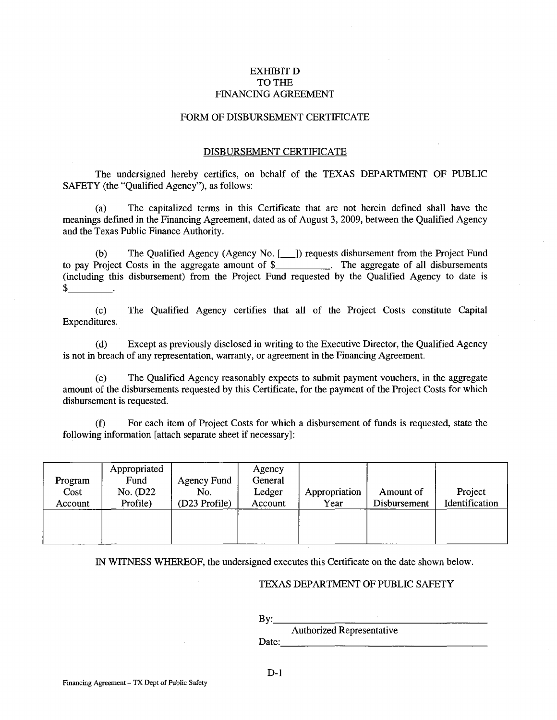# EXHIBITD TO THE FINANCING AGREEMENT

#### FORM OF DISBURSEMENT CERTIFICATE

# DISBURSEMENT CERTIFICATE

The undersigned hereby certifies, on behalf of the TEXAS DEPARTMENT OF PUBLIC SAFETY (the "Qualified Agency"), as follows:

(a) The capitalized terms in this Certificate that are not herein defined shall have the meanings defined in the Financing Agreement, dated as of August 3, 2009, between the Qualified Agency and the Texas Public Finance Authority.

(b) The Qualified Agency (Agency No. [101]) requests disbursement from the Project Fund to pay Project Costs in the aggregate amount of \$\_\_\_\_\_\_\_\_\_\_. The aggregate of all disbursements (including this disbursement) from the Project Fund requested by the Qualified Agency to date is  $\frac{1}{2}$ .

(c) The Qualified Agency certifies that all of the Project Costs constitute Capital Expenditures.

(d) Except as previously disclosed in writing to the Executive Director, the Qualified Agency is not in breach of any representation, warranty, or agreement in the Financing Agreement.

(e) The Qualified Agency reasonably expects to submit payment vouchers, in the aggregate amount of the disbursements requested by this Certificate, for the payment of the Project Costs for which disbursement is requested.

(f) For each item of Project Costs for which a disbursement of funds is requested, state the following information [attach separate sheet if necessary]:

| Program<br>Cost<br>Account | Appropriated<br>Fund<br>No. (D22)<br>Profile) | <b>Agency Fund</b><br>No.<br>(D23 Profile) | Agency<br>General<br>Ledger<br>Account | Appropriation<br>Year | Amount of<br>Disbursement | Project<br>Identification |
|----------------------------|-----------------------------------------------|--------------------------------------------|----------------------------------------|-----------------------|---------------------------|---------------------------|
|                            |                                               |                                            |                                        |                       |                           |                           |

IN WITNESS WHEREOF, the undersigned executes this Certificate on the date shown below.

#### TEXAS DEPARTMENT OF PUBLIC SAFETY

By: \_\_\_\_\_\_\_\_\_\_\_\_\_\_\_ \_

Authorized Representative Date: \_\_\_\_\_\_\_\_\_\_\_\_\_\_\_\_\_ \_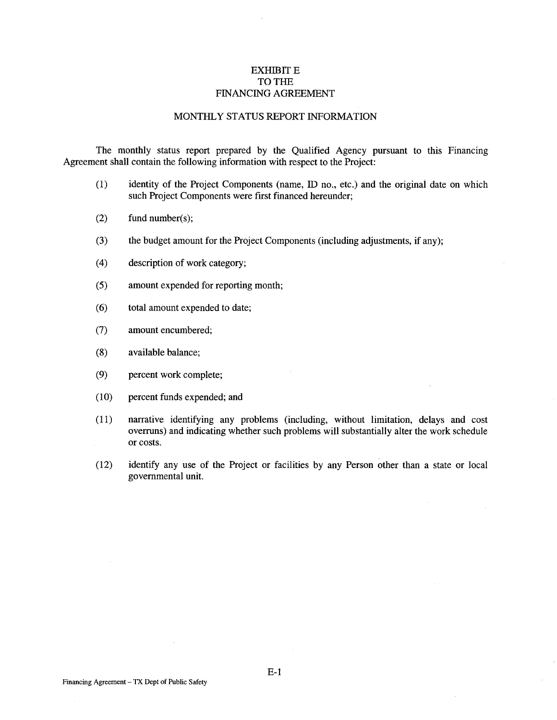# **EXHIBIT E** TO THE FINANCING AGREEMENT

# MONTHLY STATUS REPORT INFORMATION

The monthly status report prepared by the Qualified Agency pursuant to this Financing Agreement shall contain the following information with respect to the Project:

- (1) identity of the Project Components (name, ID no., etc.) and the original date on which such Project Components were first financed hereunder;
- (2) fund number(s);
- (3) the budget amount for the Project Components (including adjustments, if any);
- (4) description of work category;
- (5) amount expended for reporting month;
- (6) total amount expended to date;
- (7) amount encumbered;
- (8) available balance;
- (9) percent work complete;
- (10) percent funds expended; and
- (11) narrative identifying any problems (including, without limitation, delays and cost overruns) and indicating whether such problems will substantially alter the work schedule or costs.
- (12) identify any use of the Project or facilities by any Person other than a state or local governmental unit.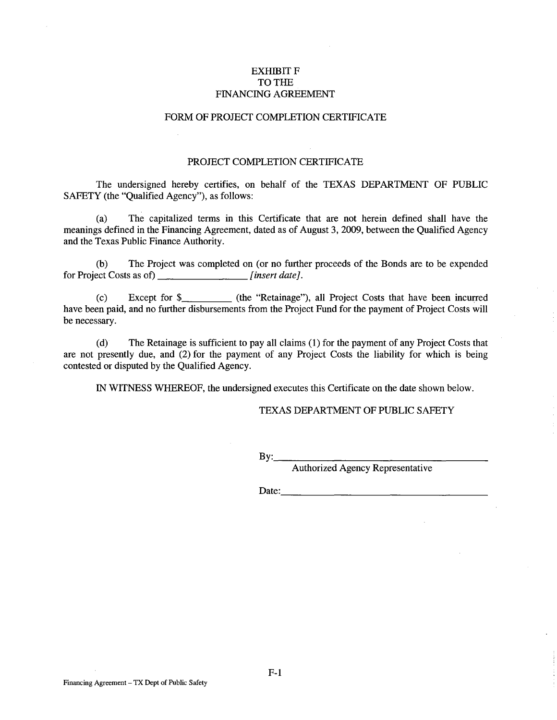# EXHIBIT F TO THE FINANCING AGREEMENT

# FORM OF PROJECT COMPLETION CERTIFICATE

#### PROJECT COMPLETION CERTIFICATE

The undersigned hereby certifies, on behalf of the TEXAS DEPARTMENT OF PUBLIC SAFETY (the "Qualified Agency"), as follows:

(a) The capitalized terms in this Certificate that are not herein defined shall have the meanings defined in the Financing Agreement, dated as of August 3, 2009, between the Qualified Agency and the Texas Public Finance Authority.

(b) The Project was completed on (or no further proceeds of the Bonds are to be expended for Project Costs as of) \_\_\_\_\_\_\_\_\_\_\_\_\_\_\_\_\_\_\_\_\_*[insert date]*.

(c) Except for \$\_\_\_\_\_\_\_\_\_\_\_ (the "Retainage"), all Project Costs that have been incurred have been paid, and no further disbursements from the Project Fund for the payment of Project Costs will be necessary.

(d) The Retainage is sufficient to pay all claims (1) for the payment of any Project Costs that are not presently due, and (2) for the payment of any Project Costs the liability for which is being contested or disputed by the Qualified Agency.

IN WITNESS WHEREOF, the undersigned executes this Certificate on the date shown below.

# TEXAS DEPARTMENT OF PUBLIC SAFETY

By: \_\_\_\_\_\_\_\_\_\_\_\_\_\_\_ \_

Authorized Agency Representative

Date: \_\_\_\_\_\_\_\_\_\_\_\_\_\_\_\_\_ \_